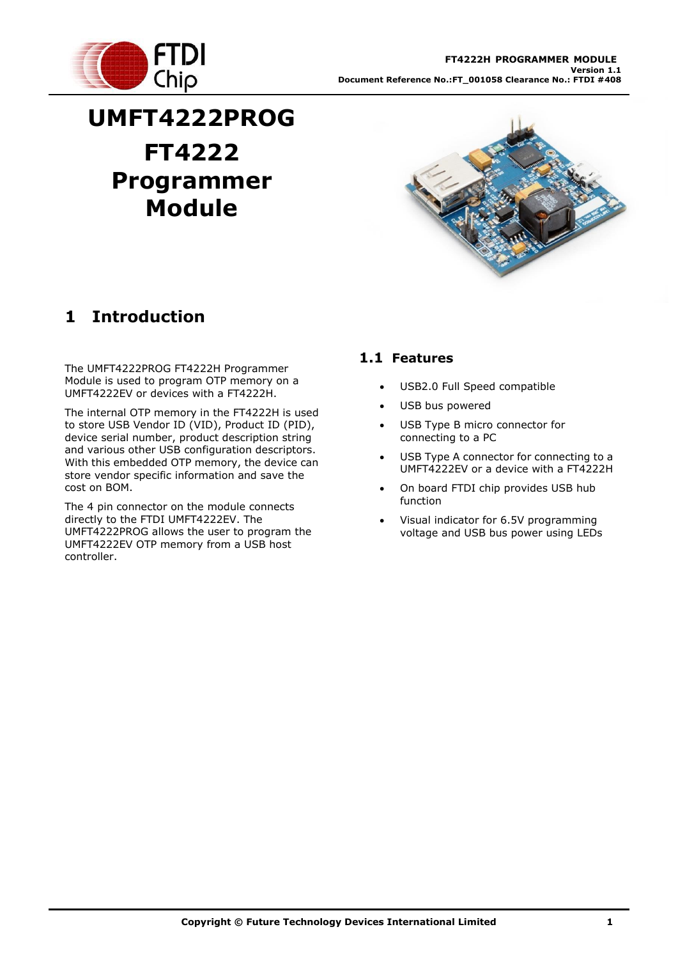

# **UMFT4222PROG FT4222 Programmer Module**



# **1 Introduction**

The UMFT4222PROG FT4222H Programmer Module is used to program OTP memory on a UMFT4222EV or devices with a FT4222H.

The internal OTP memory in the FT4222H is used to store USB Vendor ID (VID), Product ID (PID), device serial number, product description string and various other USB configuration descriptors. With this embedded OTP memory, the device can store vendor specific information and save the cost on BOM.

The 4 pin connector on the module connects directly to the FTDI UMFT4222EV. The UMFT4222PROG allows the user to program the UMFT4222EV OTP memory from a USB host controller.

### **1.1 Features**

- USB2.0 Full Speed compatible
- USB bus powered
- USB Type B micro connector for connecting to a PC
- USB Type A connector for connecting to a UMFT4222EV or a device with a FT4222H
- On board FTDI chip provides USB hub function
- Visual indicator for 6.5V programming voltage and USB bus power using LEDs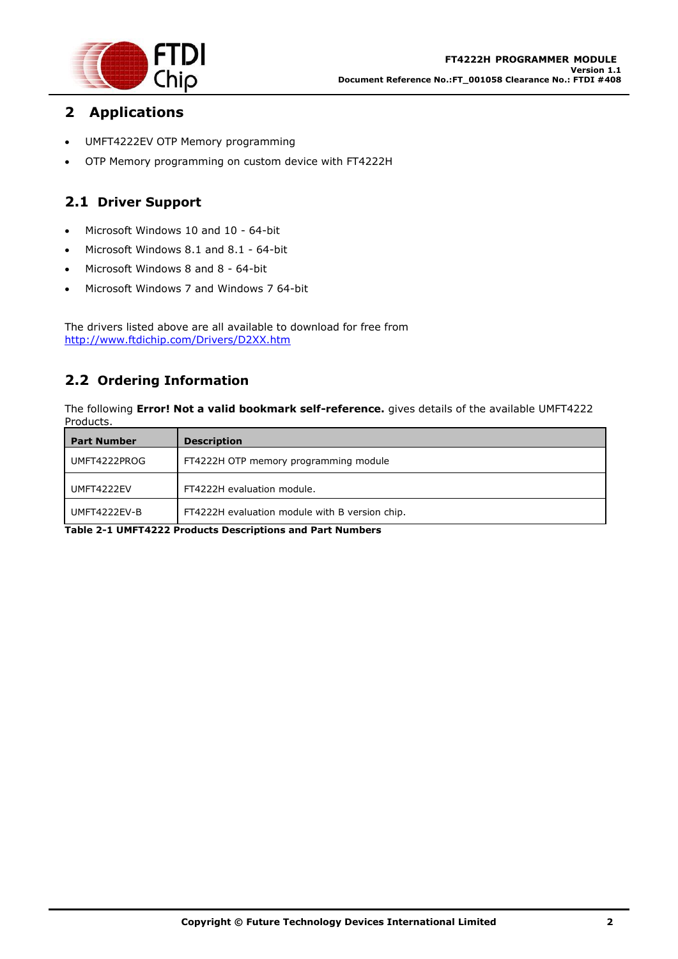

### **2 Applications**

- UMFT4222EV OTP Memory programming
- OTP Memory programming on custom device with FT4222H

### **2.1 Driver Support**

- Microsoft Windows 10 and 10 64-bit
- Microsoft Windows 8.1 and 8.1 64-bit
- Microsoft Windows 8 and 8 64-bit
- Microsoft Windows 7 and Windows 7 64-bit

The drivers listed above are all available to download for free from <http://www.ftdichip.com/Drivers/D2XX.htm>

### **2.2 Ordering Information**

The following **Error! Not a valid bookmark self-reference.** gives details of the available UMFT4222 Products.

| <b>Part Number</b> | <b>Description</b>                             |
|--------------------|------------------------------------------------|
| UMFT4222PROG       | FT4222H OTP memory programming module          |
| UMFT4222EV         | FT4222H evaluation module.                     |
| UMFT4222EV-B       | FT4222H evaluation module with B version chip. |

**Table 2-1 UMFT4222 Products Descriptions and Part Numbers**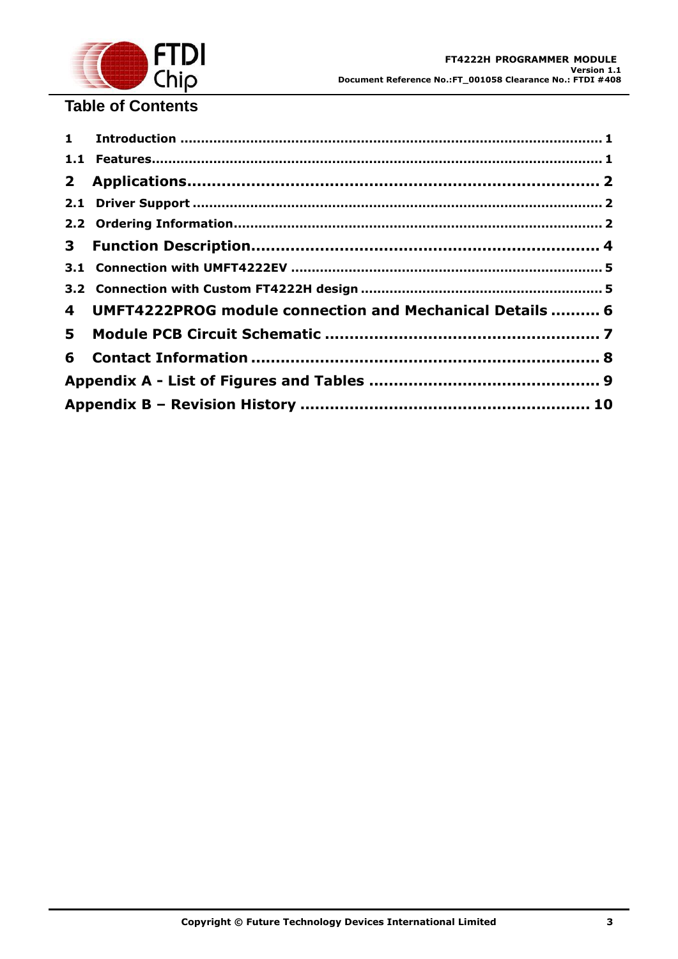

# **Table of Contents**

|   | 4 UMFT4222PROG module connection and Mechanical Details  6 |  |
|---|------------------------------------------------------------|--|
| 5 |                                                            |  |
|   |                                                            |  |
|   |                                                            |  |
|   |                                                            |  |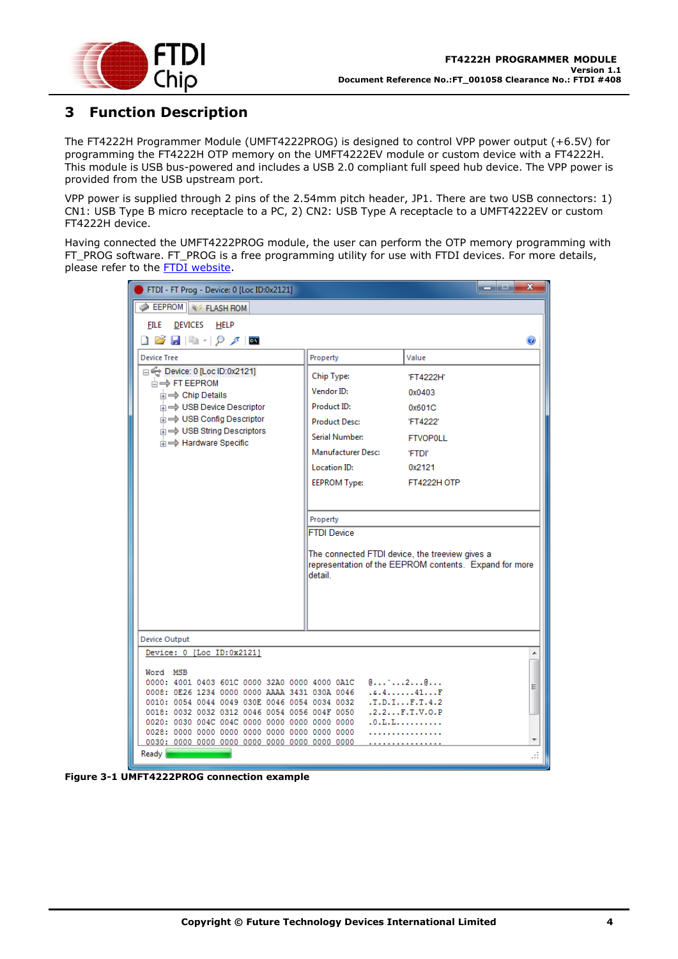

### **3 Function Description**

The FT4222H Programmer Module (UMFT4222PROG) is designed to control VPP power output (+6.5V) for programming the FT4222H OTP memory on the UMFT4222EV module or custom device with a FT4222H. This module is USB bus-powered and includes a USB 2.0 compliant full speed hub device. The VPP power is provided from the USB upstream port.

VPP power is supplied through 2 pins of the 2.54mm pitch header, JP1. There are two USB connectors: 1) CN1: USB Type B micro receptacle to a PC, 2) CN2: USB Type A receptacle to a UMFT4222EV or custom FT4222H device.

Having connected the UMFT4222PROG module, the user can perform the OTP memory programming with FT\_PROG software. FT\_PROG is a free programming utility for use with FTDI devices. For more details, please refer to the **FTDI** website.

| FTDI - FT Prog - Device: 0 [Loc ID:0x2121]                                                     | $\mathbf x$<br>--<br>الكال                             |
|------------------------------------------------------------------------------------------------|--------------------------------------------------------|
| <b>EEPROM</b> & FLASH ROM                                                                      |                                                        |
| DEVICES HELP<br><b>FILE</b>                                                                    |                                                        |
| ▯◶▮▮▫◝▯◕◞▮◙                                                                                    | $\bullet$                                              |
| <b>Device Tree</b>                                                                             | Property<br>Value                                      |
| Device: 0 [Loc ID:0x2121]                                                                      |                                                        |
| <b>E</b> <del>FT</del> EEPROM                                                                  | Chip Type:<br>'FT4222H'                                |
| <b>E</b> $\Rightarrow$ Chip Details                                                            | Vendor ID:<br>0x0403                                   |
| in ⇒ USB Device Descriptor                                                                     | Product ID:<br>0x601C                                  |
| <b>E</b> → USB Config Descriptor                                                               | <b>Product Desc:</b><br>'FT4222'                       |
| in ⇒ USB String Descriptors<br>in $\Rightarrow$ Hardware Specific                              | Serial Number:<br><b>FTVOP0LL</b>                      |
|                                                                                                | Manufacturer Desc:<br>'FTDI'                           |
|                                                                                                | <b>Location ID:</b><br>0x2121                          |
|                                                                                                | <b>EEPROM Type:</b><br>FT4222H OTP                     |
|                                                                                                |                                                        |
|                                                                                                |                                                        |
|                                                                                                | Property                                               |
|                                                                                                | <b>FTDI Device</b>                                     |
|                                                                                                | The connected FTDI device, the treeview gives a        |
|                                                                                                | representation of the EEPROM contents. Expand for more |
|                                                                                                | detail                                                 |
|                                                                                                |                                                        |
|                                                                                                |                                                        |
|                                                                                                |                                                        |
|                                                                                                |                                                        |
| Device Output                                                                                  |                                                        |
| Device: 0 [Loc ID:0x2121]                                                                      | ▲                                                      |
| Word MSB                                                                                       |                                                        |
| 0000: 4001 0403 601C 0000 32A0 0000 4000 0A1C<br>0008: 0E26 1234 0000 0000 AAAA 3431 030A 0046 | Ξ<br>.4.4.1.1.41.0.0                                   |
| 0010: 0054 0044 0049 030E 0046 0054 0034 0032                                                  | .T.D.I. J.F.T.4.2                                      |
| 0018: 0032 0032 0312 0046 0054 0056 004F 0050                                                  | .2.2. F.T.V. 0. P                                      |
|                                                                                                | .0. L.L. L.                                            |
|                                                                                                |                                                        |
| Ready                                                                                          |                                                        |

<span id="page-3-0"></span>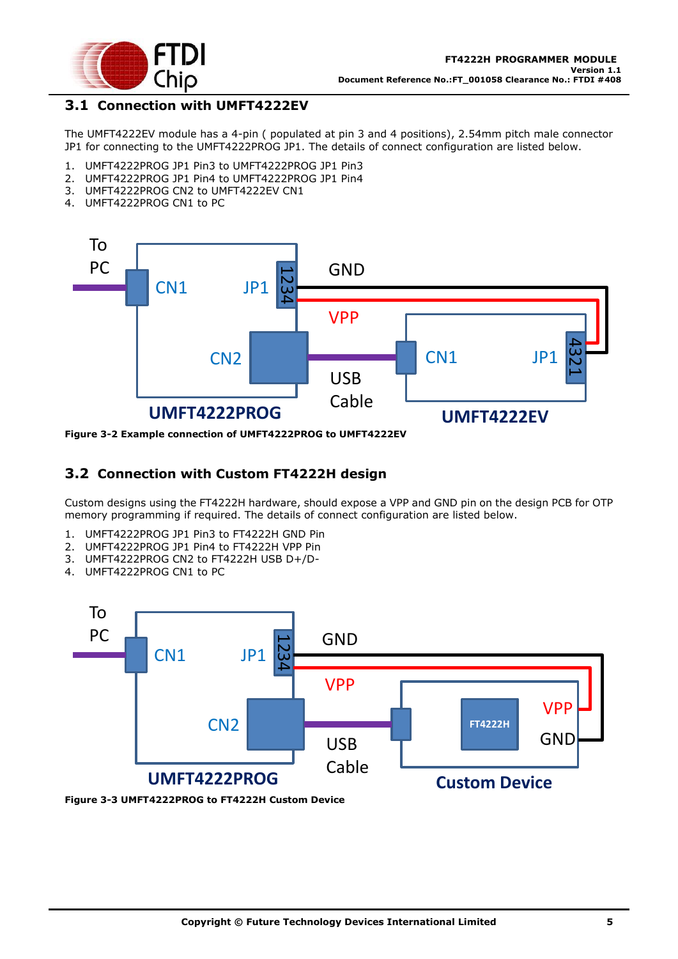

### **3.1 Connection with UMFT4222EV**

The UMFT4222EV module has a 4-pin ( populated at pin 3 and 4 positions), 2.54mm pitch male connector JP1 for connecting to the UMFT4222PROG JP1. The details of connect configuration are listed below.

- 1. UMFT4222PROG JP1 Pin3 to UMFT4222PROG JP1 Pin3
- 2. UMFT4222PROG JP1 Pin4 to UMFT4222PROG JP1 Pin4
- 3. UMFT4222PROG CN2 to UMFT4222EV CN1
- 4. UMFT4222PROG CN1 to PC



<span id="page-4-0"></span>

#### **3.2 Connection with Custom FT4222H design**

Custom designs using the FT4222H hardware, should expose a VPP and GND pin on the design PCB for OTP memory programming if required. The details of connect configuration are listed below.

- 1. UMFT4222PROG JP1 Pin3 to FT4222H GND Pin
- 2. UMFT4222PROG JP1 Pin4 to FT4222H VPP Pin
- 3. UMFT4222PROG CN2 to FT4222H USB D+/D-
- 4. UMFT4222PROG CN1 to PC



<span id="page-4-1"></span>**Figure 3-3 UMFT4222PROG to FT4222H Custom Device**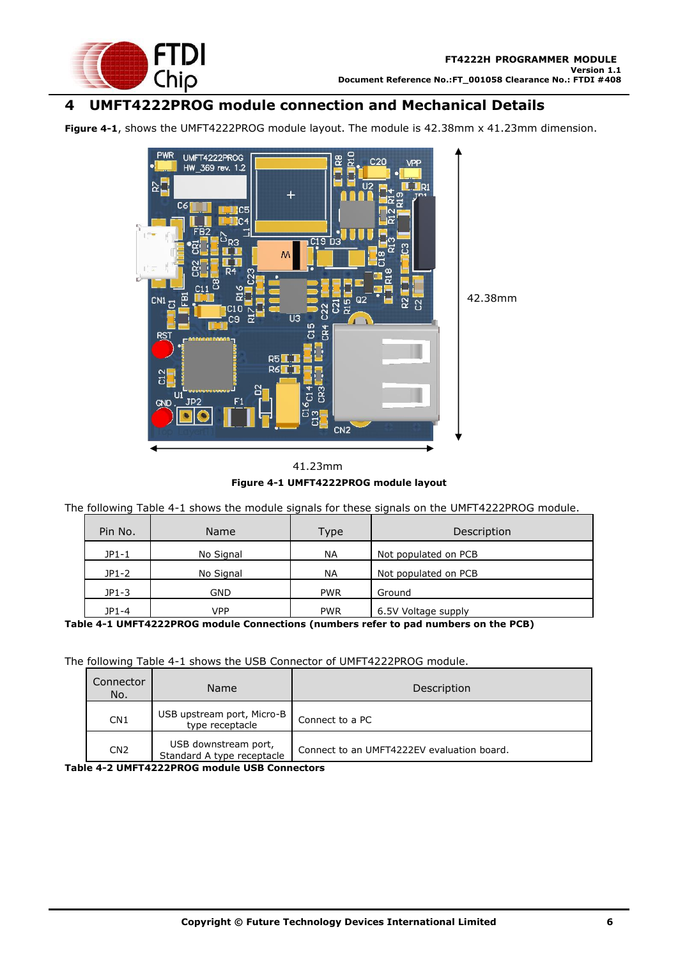

### **4 UMFT4222PROG module connection and Mechanical Details**

**[Figure 4-1](#page-5-0)**, shows the UMFT4222PROG module layout. The module is 42.38mm x 41.23mm dimension.



**Figure 4-1 UMFT4222PROG module layout** 41.23mm

<span id="page-5-0"></span>The following [Table 4-1](#page-5-1) shows the module signals for these signals on the UMFT4222PROG module.

| Pin No. | <b>Name</b> | Type       | Description          |
|---------|-------------|------------|----------------------|
| $JP1-1$ | No Signal   | <b>NA</b>  | Not populated on PCB |
| $JP1-2$ | No Signal   | <b>NA</b>  | Not populated on PCB |
| $JP1-3$ | GND         | <b>PWR</b> | Ground               |
| JP1-4   | <b>VPP</b>  | <b>PWR</b> | 6.5V Voltage supply  |

<span id="page-5-1"></span>**Table 4-1 UMFT4222PROG module Connections (numbers refer to pad numbers on the PCB)**

The following [Table 4-1](#page-5-1) shows the USB Connector of UMFT4222PROG module.

| Connector<br>No. | Name                                                                 | Description                                |
|------------------|----------------------------------------------------------------------|--------------------------------------------|
| CN <sub>1</sub>  | USB upstream port, Micro-B<br>type receptacle                        | Connect to a PC                            |
| CN <sub>2</sub>  | USB downstream port,<br>Standard A type receptacle<br>$\blacksquare$ | Connect to an UMFT4222EV evaluation board. |

<span id="page-5-2"></span>**Table 4-2 UMFT4222PROG module USB Connectors**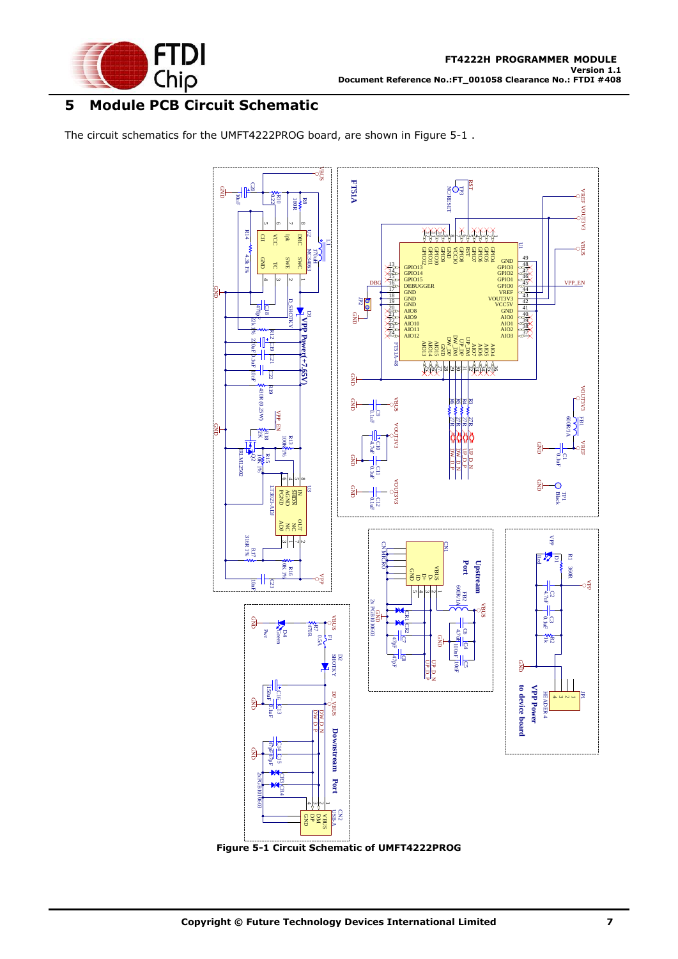

## **5 Module PCB Circuit Schematic**

The circuit schematics for the UMFT4222PROG board, are shown in [Figure 5-1](#page-6-0) .



<span id="page-6-0"></span>**Figure 5-1 Circuit Schematic of UMFT4222PROG**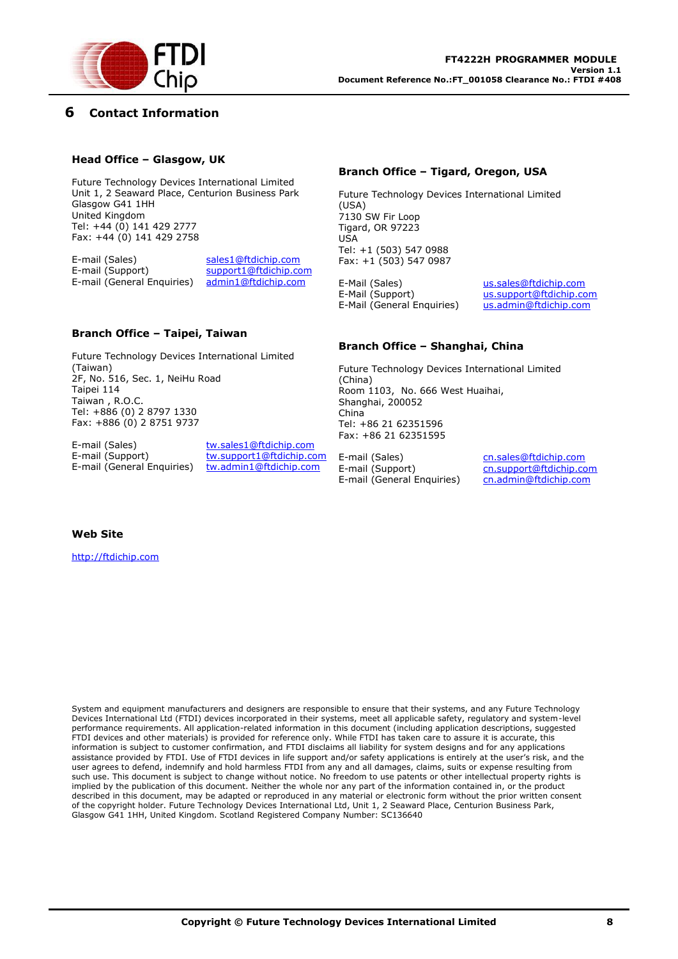

#### **6 Contact Information**

#### **Head Office – Glasgow, UK**

Future Technology Devices International Limited Unit 1, 2 Seaward Place, Centurion Business Park Glasgow G41 1HH United Kingdom Tel: +44 (0) 141 429 2777 Fax: +44 (0) 141 429 2758

E-mail (Sales) sales1@ftdichip.com E-mail (Support) support1@ftdichip.com E-mail (General Enquiries) admin1@ftdichip.com

#### **Branch Office – Taipei, Taiwan**

Future Technology Devices International Limited (Taiwan) 2F, No. 516, Sec. 1, NeiHu Road Taipei 114 Taiwan , R.O.C. Tel: +886 (0) 2 8797 1330 Fax: +886 (0) 2 8751 9737

E-mail (Sales) tw.sales1@ftdichip.com E-mail (General Enquiries) tw.admin1@ftdichip.com

E-mail (Support) tw.support1@ftdichip.com

#### **Branch Office – Tigard, Oregon, USA**

Future Technology Devices International Limited (USA) 7130 SW Fir Loop Tigard, OR 97223 USA Tel: +1 (503) 547 0988 Fax: +1 (503) 547 0987

E-Mail (Sales) us.sales@ftdichip.com E-Mail (Support) us.support@ftdichip.com E-Mail (General Enquiries) us.admin@ftdichip.com

#### **Branch Office – Shanghai, China**

Future Technology Devices International Limited (China) Room 1103, No. 666 West Huaihai, Shanghai, 200052 China Tel: +86 21 62351596 Fax: +86 21 62351595

E-mail (Support) cn.support@ftdichip.com E-mail (General Enquiries) cn.admin@ftdichip.com

E-mail (Sales) cn.sales@ftdichip.com

#### **Web Site**

http://ftdichip.com

System and equipment manufacturers and designers are responsible to ensure that their systems, and any Future Technology Devices International Ltd (FTDI) devices incorporated in their systems, meet all applicable safety, regulatory and system-level performance requirements. All application-related information in this document (including application descriptions, suggested FTDI devices and other materials) is provided for reference only. While FTDI has taken care to assure it is accurate, this information is subject to customer confirmation, and FTDI disclaims all liability for system designs and for any applications assistance provided by FTDI. Use of FTDI devices in life support and/or safety applications is entirely at the user's risk, and the user agrees to defend, indemnify and hold harmless FTDI from any and all damages, claims, suits or expense resulting from such use. This document is subject to change without notice. No freedom to use patents or other intellectual property rights is implied by the publication of this document. Neither the whole nor any part of the information contained in, or the product described in this document, may be adapted or reproduced in any material or electronic form without the prior written consent of the copyright holder. Future Technology Devices International Ltd, Unit 1, 2 Seaward Place, Centurion Business Park, Glasgow G41 1HH, United Kingdom. Scotland Registered Company Number: SC136640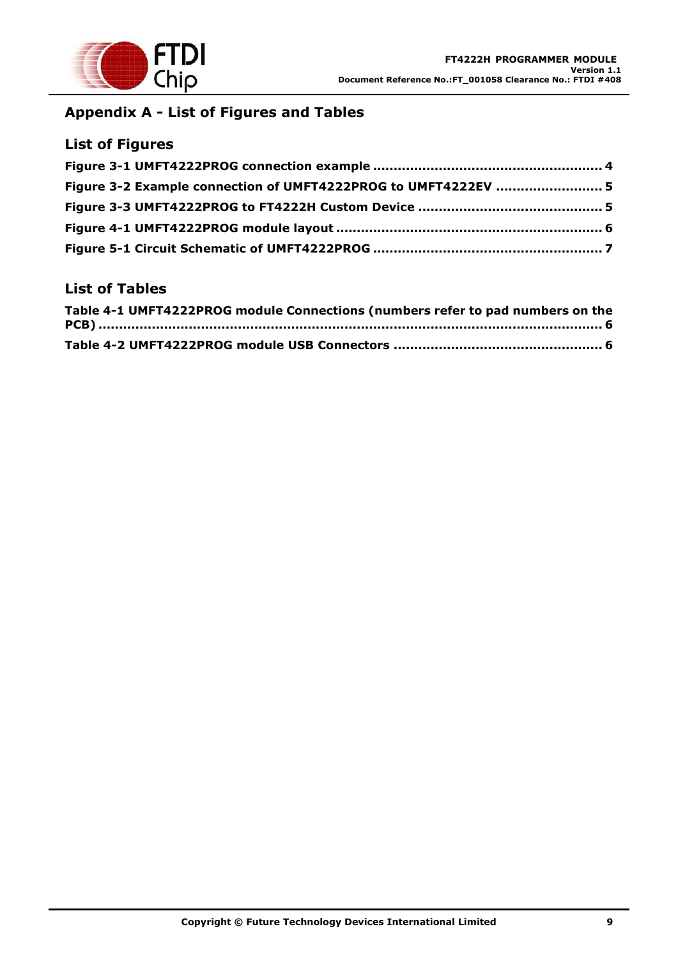

# **Appendix A - List of Figures and Tables**

### **List of Figures**

| Figure 3-2 Example connection of UMFT4222PROG to UMFT4222EV  5 |  |
|----------------------------------------------------------------|--|
|                                                                |  |
|                                                                |  |
|                                                                |  |

### **List of Tables**

| Table 4-1 UMFT4222PROG module Connections (numbers refer to pad numbers on the |  |
|--------------------------------------------------------------------------------|--|
|                                                                                |  |